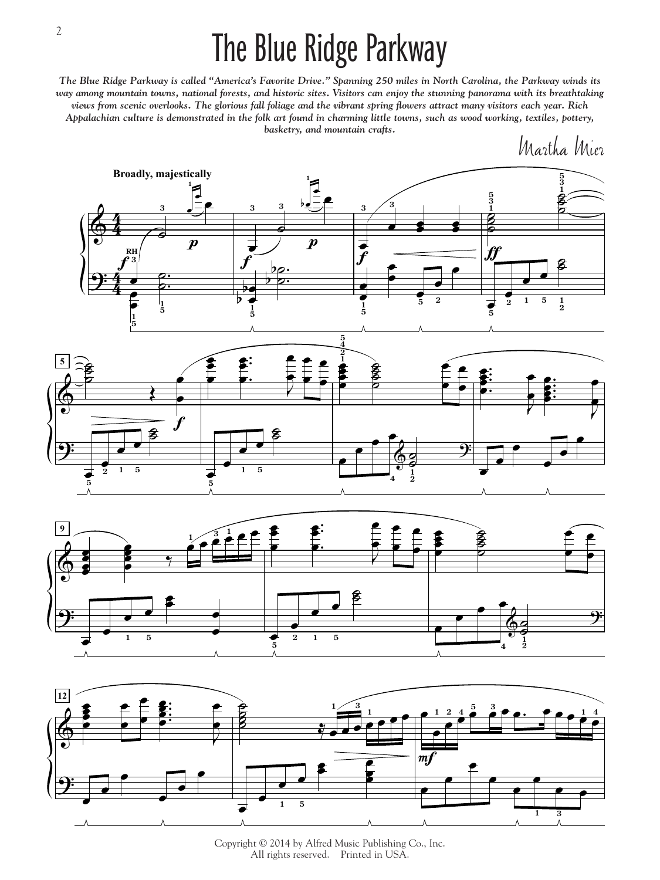## The Blue Ridge Parkway

*The Blue Ridge Parkway is called "America's Favorite Drive." Spanning 250 miles in North Carolina, the Parkway winds its way among mountain towns, national forests, and historic sites. Visitors can enjoy the stunning panorama with its breathtaking views from scenic overlooks. The glorious fall foliage and the vibrant spring flowers attract many visitors each year. Rich Appalachian culture is demonstrated in the folk art found in charming little towns, such as wood working, textiles, pottery, basketry, and mountain crafts.*

Martha Mier







Copyright © 2014 by Alfred Music Publishing Co., Inc. All rights reserved. Printed in USA.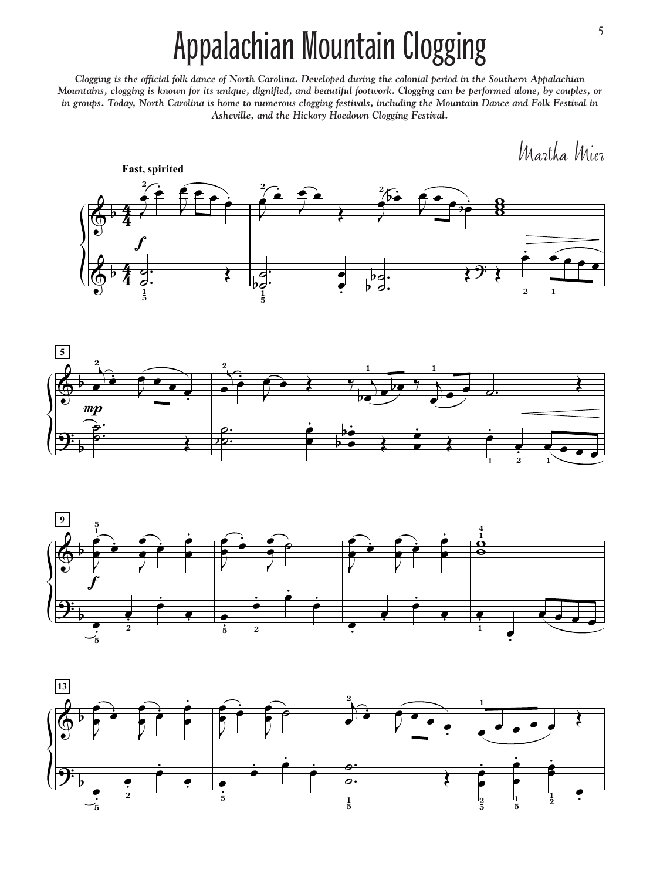## Appalachian Mountain Clogging

*Clogging is the official folk dance of North Carolina. Developed during the colonial period in the Southern Appalachian Mountains, clogging is known for its unique, dignified, and beautiful footwork. Clogging can be performed alone, by couples, or in groups. Today, North Carolina is home to numerous clogging festivals, including the Mountain Dance and Folk Festival in Asheville, and the Hickory Hoedown Clogging Festival.*

Martha Mier







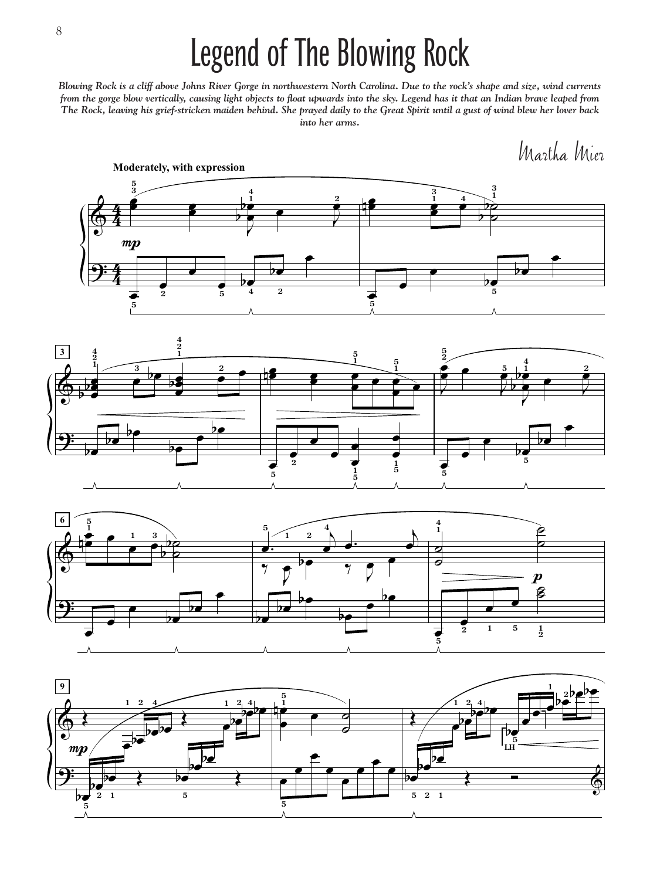## Legend of The Blowing Rock

*Blowing Rock is a cliff above Johns River Gorge in northwestern North Carolina. Due to the rock's shape and size, wind currents from the gorge blow vertically, causing light objects to float upwards into the sky. Legend has it that an Indian brave leaped from The Rock, leaving his grief-stricken maiden behind. She prayed daily to the Great Spirit until a gust of wind blew her lover back into her arms.*